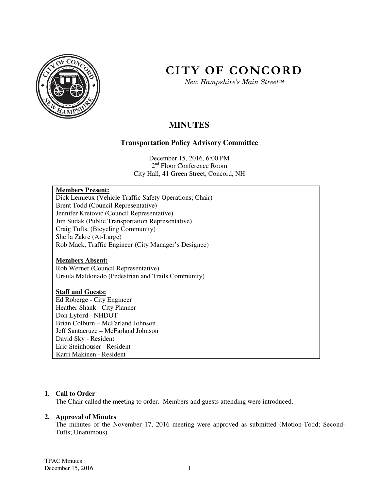

# **CITY OF CONCORD**

*New Hampshire's Main Street™*

## **MINUTES**

#### **Transportation Policy Advisory Committee**

December 15, 2016, 6:00 PM 2<sup>nd</sup> Floor Conference Room City Hall, 41 Green Street, Concord, NH

#### **Members Present:**

Dick Lemieux (Vehicle Traffic Safety Operations; Chair) Brent Todd (Council Representative) Jennifer Kretovic (Council Representative) Jim Sudak (Public Transportation Representative) Craig Tufts, (Bicycling Community) Sheila Zakre (At-Large) Rob Mack, Traffic Engineer (City Manager's Designee)

#### **Members Absent:**

Rob Werner (Council Representative) Ursula Maldonado (Pedestrian and Trails Community)

#### **Staff and Guests:**

Ed Roberge - City Engineer Heather Shank - City Planner Don Lyford - NHDOT Brian Colburn – McFarland Johnson Jeff Santacruze – McFarland Johnson David Sky - Resident Eric Steinhouser - Resident Karri Makinen - Resident

#### **1. Call to Order**

The Chair called the meeting to order. Members and guests attending were introduced.

#### **2. Approval of Minutes**

The minutes of the November 17, 2016 meeting were approved as submitted (Motion-Todd; Second-Tufts; Unanimous).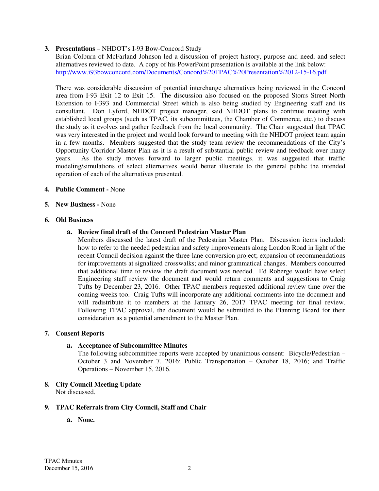#### **3. Presentations** – NHDOT's I-93 Bow-Concord Study

Brian Colburn of McFarland Johnson led a discussion of project history, purpose and need, and select alternatives reviewed to date. A copy of his PowerPoint presentation is available at the link below: http://www.i93bowconcord.com/Documents/Concord%20TPAC%20Presentation%2012-15-16.pdf

There was considerable discussion of potential interchange alternatives being reviewed in the Concord area from I-93 Exit 12 to Exit 15. The discussion also focused on the proposed Storrs Street North Extension to I-393 and Commercial Street which is also being studied by Engineering staff and its consultant. Don Lyford, NHDOT project manager, said NHDOT plans to continue meeting with established local groups (such as TPAC, its subcommittees, the Chamber of Commerce, etc.) to discuss the study as it evolves and gather feedback from the local community. The Chair suggested that TPAC was very interested in the project and would look forward to meeting with the NHDOT project team again in a few months. Members suggested that the study team review the recommendations of the City's Opportunity Corridor Master Plan as it is a result of substantial public review and feedback over many years. As the study moves forward to larger public meetings, it was suggested that traffic modeling/simulations of select alternatives would better illustrate to the general public the intended operation of each of the alternatives presented.

#### **4. Public Comment -** None

**5. New Business -** None

#### **6. Old Business**

#### **a. Review final draft of the Concord Pedestrian Master Plan**

Members discussed the latest draft of the Pedestrian Master Plan. Discussion items included: how to refer to the needed pedestrian and safety improvements along Loudon Road in light of the recent Council decision against the three-lane conversion project; expansion of recommendations for improvements at signalized crosswalks; and minor grammatical changes. Members concurred that additional time to review the draft document was needed. Ed Roberge would have select Engineering staff review the document and would return comments and suggestions to Craig Tufts by December 23, 2016. Other TPAC members requested additional review time over the coming weeks too. Craig Tufts will incorporate any additional comments into the document and will redistribute it to members at the January 26, 2017 TPAC meeting for final review. Following TPAC approval, the document would be submitted to the Planning Board for their consideration as a potential amendment to the Master Plan.

#### **7. Consent Reports**

#### **a. Acceptance of Subcommittee Minutes**

The following subcommittee reports were accepted by unanimous consent: Bicycle/Pedestrian – October 3 and November 7, 2016; Public Transportation – October 18, 2016; and Traffic Operations – November 15, 2016.

### **8. City Council Meeting Update**

Not discussed.

#### **9. TPAC Referrals from City Council, Staff and Chair**

**a. None.**